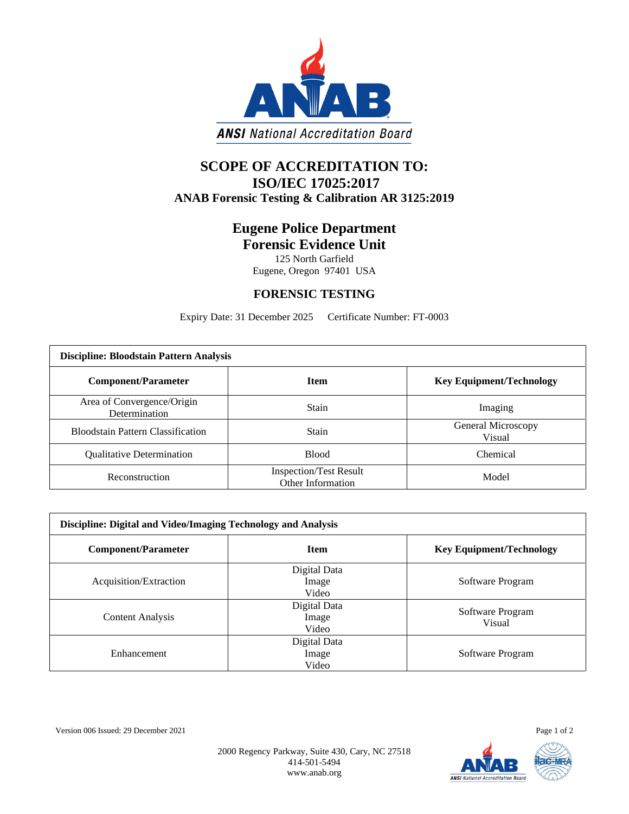

## **SCOPE OF ACCREDITATION TO: ISO/IEC 17025:2017 ANAB Forensic Testing & Calibration AR 3125:2019**

## **Eugene Police Department Forensic Evidence Unit**

125 North Garfield Eugene, Oregon 97401 USA

## **FORENSIC TESTING**

Expiry Date: 31 December 2025 Certificate Number: FT-0003

| <b>Discipline: Bloodstain Pattern Analysis</b> |                                                    |                                 |  |  |
|------------------------------------------------|----------------------------------------------------|---------------------------------|--|--|
| <b>Component/Parameter</b>                     | <b>Item</b>                                        | <b>Key Equipment/Technology</b> |  |  |
| Area of Convergence/Origin<br>Determination    | Stain                                              | Imaging                         |  |  |
| <b>Bloodstain Pattern Classification</b>       | Stain                                              | General Microscopy<br>Visual    |  |  |
| <b>Qualitative Determination</b>               | <b>Blood</b>                                       | Chemical                        |  |  |
| Reconstruction                                 | <b>Inspection/Test Result</b><br>Other Information | Model                           |  |  |

| Discipline: Digital and Video/Imaging Technology and Analysis |                                |                                 |  |  |
|---------------------------------------------------------------|--------------------------------|---------------------------------|--|--|
| <b>Component/Parameter</b>                                    | <b>Item</b>                    | <b>Key Equipment/Technology</b> |  |  |
| Acquisition/Extraction                                        | Digital Data<br>Image<br>Video | Software Program                |  |  |
| <b>Content Analysis</b>                                       | Digital Data<br>Image<br>Video | Software Program<br>Visual      |  |  |
| Enhancement                                                   | Digital Data<br>Image<br>Video | Software Program                |  |  |

Version 006 Issued: 29 December 2021 Page 1 of 2

2000 Regency Parkway, Suite 430, Cary, NC 27518 414-501-5494 www.anab.org